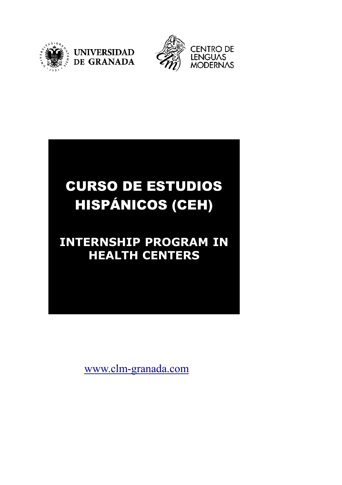



# CURSO DE ESTUDIOS HISPÁNICOS (CEH)

# **INTERNSHIP PROGRAM IN HEALTH CENTERS**

www.clm-granada.com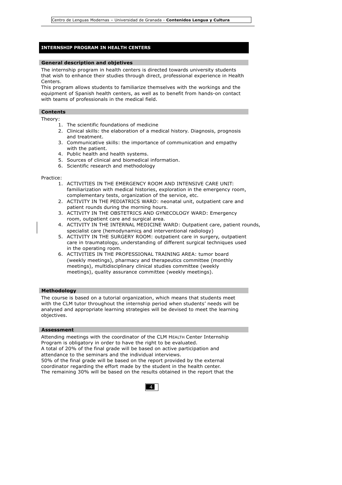# **INTERNSHIP PROGRAM IN HEALTH CENTERS**

#### **General description and objetives**

The internship program in health centers is directed towards university students that wish to enhance their studies through direct, professional experience in Health Centers.

This program allows students to familiarize themselves with the workings and the equipment of Spanish health centers, as well as to benefit from hands-on contact with teams of professionals in the medical field.

# **Contents**

**Españolas**

Theory:

- 1. The scientific foundations of medicine
- 2. Clinical skills: the elaboration of a medical history. Diagnosis, prognosis and treatment.
- 3. Communicative skills: the importance of communication and empathy with the patient.
- 4. Public health and health systems.
- 5. Sources of clinical and biomedical information.
- 6. Scientific research and methodology

#### Practice:

- 1. ACTIVITIES IN THE EMERGENCY ROOM AND INTENSIVE CARE UNIT: familiarization with medical histories, exploration in the emergency room, complementary tests, organization of the service, etc.
- 2. ACTIVITY IN THE PEDIATRICS WARD: neonatal unit, outpatient care and patient rounds during the morning hours.
- 3. ACTIVITY IN THE OBSTETRICS AND GYNECOLOGY WARD: Emergency room, outpatient care and surgical area.
- 4. ACTIVITY IN THE INTERNAL MEDICINE WARD: Outpatient care, patient rounds, specialist care (hemodynamics and interventional radiology)
- 5. ACTIVITY IN THE SURGERY ROOM: outpatient care in surgery, outpatient care in traumatology, understanding of different surgical techniques used in the operating room.
- 6. ACTIVITIES IN THE PROFESSIONAL TRAINING AREA: tumor board (weekly meetings), pharmacy and therapeutics committee (monthly meetings), multidisciplinary clinical studies committee (weekly meetings), quality assurance committee (weekly meetings).

#### **Methodology**

The course is based on a tutorial organization, which means that students meet with the CLM tutor throughout the internship period when students' needs will be analysed and appropriate learning strategies will be devised to meet the learning objectives.

### **Assessment**

Attending meetings with the coordinator of the CLM HEALTH Center Internship Program is obligatory in order to have the right to be evaluated. A total of 20% of the final grade will be based on active participation and attendance to the seminars and the individual interviews. 50% of the final grade will be based on the report provided by the external coordinator regarding the effort made by the student in the health center. The remaining 30% will be based on the results obtained in the report that the